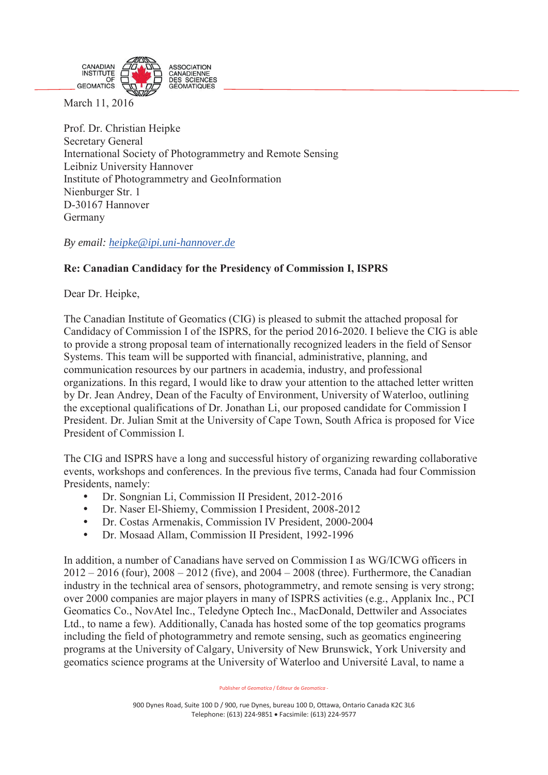

March 11, 2016

Ī

Prof. Dr. Christian Heipke Secretary General International Society of Photogrammetry and Remote Sensing Leibniz University Hannover Institute of Photogrammetry and GeoInformation Nienburger Str. 1 D-30167 Hannover Germany

*By email: heipke@ipi.uni-hannover.de*

## **Re: Canadian Candidacy for the Presidency of Commission I, ISPRS**

Dear Dr. Heipke,

The Canadian Institute of Geomatics (CIG) is pleased to submit the attached proposal for Candidacy of Commission I of the ISPRS, for the period 2016-2020. I believe the CIG is able to provide a strong proposal team of internationally recognized leaders in the field of Sensor Systems. This team will be supported with financial, administrative, planning, and communication resources by our partners in academia, industry, and professional organizations. In this regard, I would like to draw your attention to the attached letter written by Dr. Jean Andrey, Dean of the Faculty of Environment, University of Waterloo, outlining the exceptional qualifications of Dr. Jonathan Li, our proposed candidate for Commission I President. Dr. Julian Smit at the University of Cape Town, South Africa is proposed for Vice President of Commission I.

The CIG and ISPRS have a long and successful history of organizing rewarding collaborative events, workshops and conferences. In the previous five terms, Canada had four Commission Presidents, namely:

- Dr. Songnian Li, Commission II President, 2012-2016
- Dr. Naser El-Shiemy, Commission I President, 2008-2012
- y Dr. Costas Armenakis, Commission IV President, 2000-2004
- Dr. Mosaad Allam, Commission II President, 1992-1996

In addition, a number of Canadians have served on Commission I as WG/ICWG officers in 2012 – 2016 (four), 2008 – 2012 (five), and 2004 – 2008 (three). Furthermore, the Canadian industry in the technical area of sensors, photogrammetry, and remote sensing is very strong; over 2000 companies are major players in many of ISPRS activities (e.g., Applanix Inc., PCI Geomatics Co., NovAtel Inc., Teledyne Optech Inc., MacDonald, Dettwiler and Associates Ltd., to name a few). Additionally, Canada has hosted some of the top geomatics programs including the field of photogrammetry and remote sensing, such as geomatics engineering programs at the University of Calgary, University of New Brunswick, York University and geomatics science programs at the University of Waterloo and Université Laval, to name a

Publisher of *Geomatica* / Éditeur de *Geomatica* -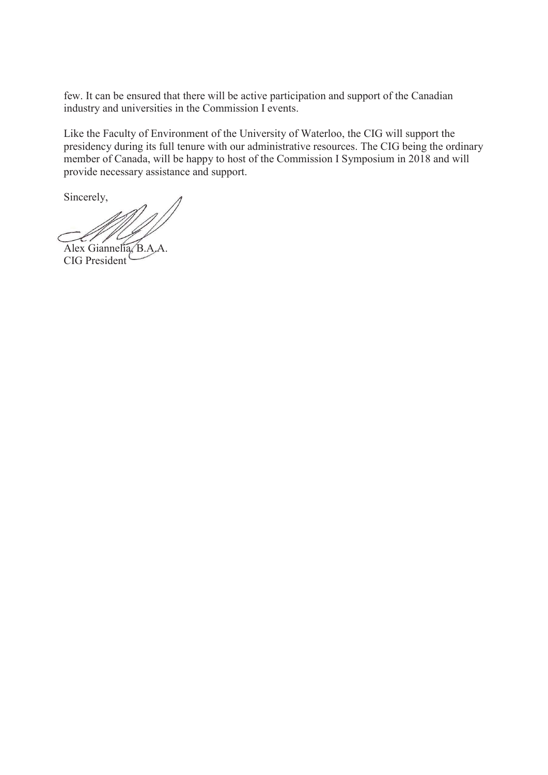few. It can be ensured that there will be active participation and support of the Canadian industry and universities in the Commission I events.

Like the Faculty of Environment of the University of Waterloo, the CIG will support the presidency during its full tenure with our administrative resources. The CIG being the ordinary member of Canada, will be happy to host of the Commission I Symposium in 2018 and will provide necessary assistance and support.

Sincerely,

Alex Giannelia, B.A.A.

CIG President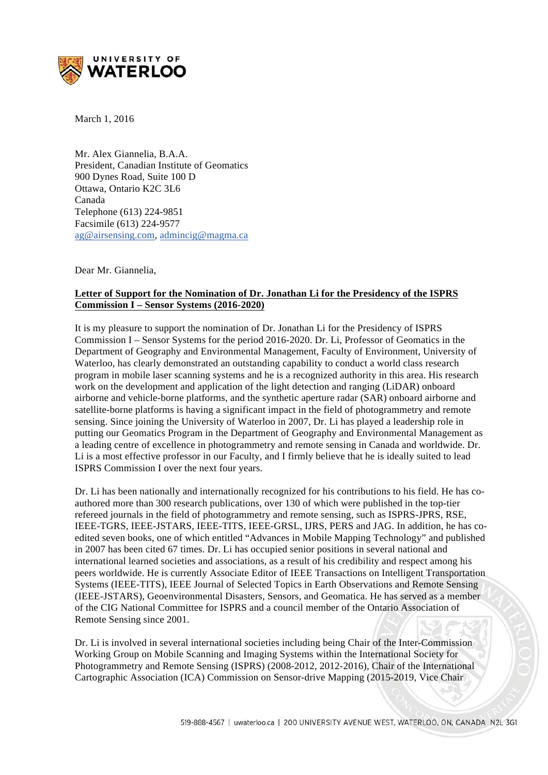

March 1, 2016

Mr. Alex Giannelia, B.A.A. President, Canadian Institute of Geomatics 900 Dynes Road, Suite 100 D Ottawa, Ontario K2C 3L6 Canada Telephone (613) 224-9851 Facsimile (613) 224-9577 ag@airsensing.com, admincig@magma.ca

Dear Mr. Giannelia,

#### **Letter of Support for the Nomination of Dr. Jonathan Li for the Presidency of the ISPRS Commission I – Sensor Systems (2016-2020)**

It is my pleasure to support the nomination of Dr. Jonathan Li for the Presidency of ISPRS Commission I – Sensor Systems for the period 2016-2020. Dr. Li, Professor of Geomatics in the Department of Geography and Environmental Management, Faculty of Environment, University of Waterloo, has clearly demonstrated an outstanding capability to conduct a world class research program in mobile laser scanning systems and he is a recognized authority in this area. His research work on the development and application of the light detection and ranging (LiDAR) onboard airborne and vehicle-borne platforms, and the synthetic aperture radar (SAR) onboard airborne and satellite-borne platforms is having a significant impact in the field of photogrammetry and remote sensing. Since joining the University of Waterloo in 2007, Dr. Li has played a leadership role in putting our Geomatics Program in the Department of Geography and Environmental Management as a leading centre of excellence in photogrammetry and remote sensing in Canada and worldwide. Dr. Li is a most effective professor in our Faculty, and I firmly believe that he is ideally suited to lead ISPRS Commission I over the next four years.

Dr. Li has been nationally and internationally recognized for his contributions to his field. He has coauthored more than 300 research publications, over 130 of which were published in the top-tier refereed journals in the field of photogrammetry and remote sensing, such as ISPRS-JPRS, RSE, IEEE-TGRS, IEEE-JSTARS, IEEE-TITS, IEEE-GRSL, IJRS, PERS and JAG. In addition, he has coedited seven books, one of which entitled "Advances in Mobile Mapping Technology" and published in 2007 has been cited 67 times. Dr. Li has occupied senior positions in several national and international learned societies and associations, as a result of his credibility and respect among his peers worldwide. He is currently Associate Editor of IEEE Transactions on Intelligent Transportation Systems (IEEE-TITS), IEEE Journal of Selected Topics in Earth Observations and Remote Sensing (IEEE-JSTARS), Geoenvironmental Disasters, Sensors, and Geomatica. He has served as a member of the CIG National Committee for ISPRS and a council member of the Ontario Association of Remote Sensing since 2001.

Dr. Li is involved in several international societies including being Chair of the Inter-Commission Working Group on Mobile Scanning and Imaging Systems within the International Society for Photogrammetry and Remote Sensing (ISPRS) (2008-2012, 2012-2016), Chair of the International Cartographic Association (ICA) Commission on Sensor-drive Mapping (2015-2019, Vice Chair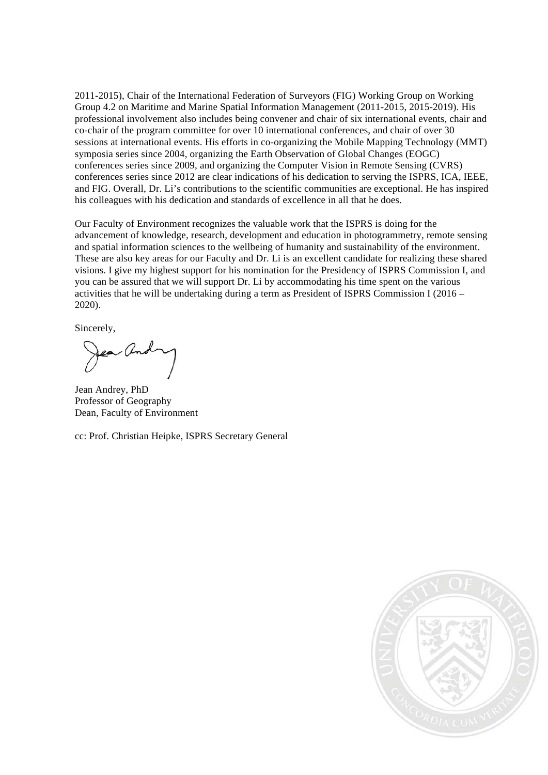2011-2015), Chair of the International Federation of Surveyors (FIG) Working Group on Working Group 4.2 on Maritime and Marine Spatial Information Management (2011-2015, 2015-2019). His professional involvement also includes being convener and chair of six international events, chair and co-chair of the program committee for over 10 international conferences, and chair of over 30 sessions at international events. His efforts in co-organizing the Mobile Mapping Technology (MMT) symposia series since 2004, organizing the Earth Observation of Global Changes (EOGC) conferences series since 2009, and organizing the Computer Vision in Remote Sensing (CVRS) conferences series since 2012 are clear indications of his dedication to serving the ISPRS, ICA, IEEE, and FIG. Overall, Dr. Li's contributions to the scientific communities are exceptional. He has inspired his colleagues with his dedication and standards of excellence in all that he does.

Our Faculty of Environment recognizes the valuable work that the ISPRS is doing for the advancement of knowledge, research, development and education in photogrammetry, remote sensing and spatial information sciences to the wellbeing of humanity and sustainability of the environment. These are also key areas for our Faculty and Dr. Li is an excellent candidate for realizing these shared visions. I give my highest support for his nomination for the Presidency of ISPRS Commission I, and you can be assured that we will support Dr. Li by accommodating his time spent on the various activities that he will be undertaking during a term as President of ISPRS Commission I (2016 – 2020).

Sincerely,

Jean Andrey, PhD Professor of Geography Dean, Faculty of Environment

cc: Prof. Christian Heipke, ISPRS Secretary General

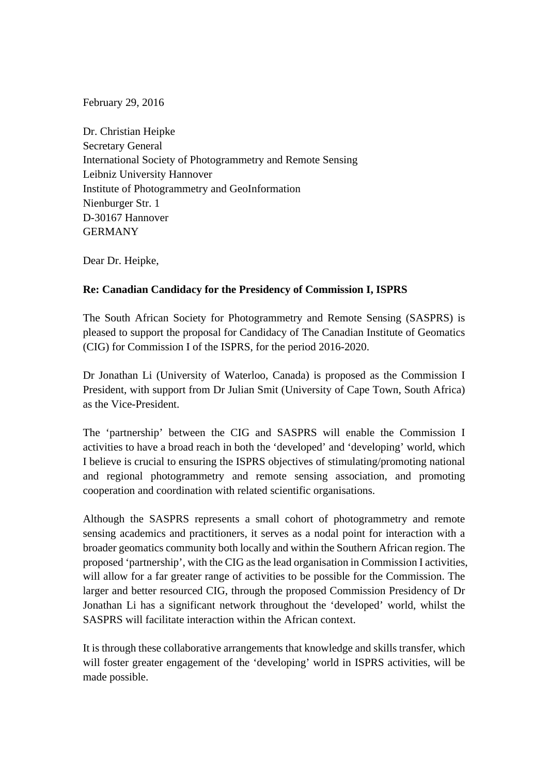February 29, 2016

Dr. Christian Heipke Secretary General International Society of Photogrammetry and Remote Sensing Leibniz University Hannover Institute of Photogrammetry and GeoInformation Nienburger Str. 1 D-30167 Hannover GERMANY

Dear Dr. Heipke,

#### **Re: Canadian Candidacy for the Presidency of Commission I, ISPRS**

The South African Society for Photogrammetry and Remote Sensing (SASPRS) is pleased to support the proposal for Candidacy of The Canadian Institute of Geomatics (CIG) for Commission I of the ISPRS, for the period 2016-2020.

Dr Jonathan Li (University of Waterloo, Canada) is proposed as the Commission I President, with support from Dr Julian Smit (University of Cape Town, South Africa) as the Vice-President.

The 'partnership' between the CIG and SASPRS will enable the Commission I activities to have a broad reach in both the 'developed' and 'developing' world, which I believe is crucial to ensuring the ISPRS objectives of stimulating/promoting national and regional photogrammetry and remote sensing association, and promoting cooperation and coordination with related scientific organisations.

Although the SASPRS represents a small cohort of photogrammetry and remote sensing academics and practitioners, it serves as a nodal point for interaction with a broader geomatics community both locally and within the Southern African region. The proposed 'partnership', with the CIG as the lead organisation in Commission I activities, will allow for a far greater range of activities to be possible for the Commission. The larger and better resourced CIG, through the proposed Commission Presidency of Dr Jonathan Li has a significant network throughout the 'developed' world, whilst the SASPRS will facilitate interaction within the African context.

It is through these collaborative arrangements that knowledge and skills transfer, which will foster greater engagement of the 'developing' world in ISPRS activities, will be made possible.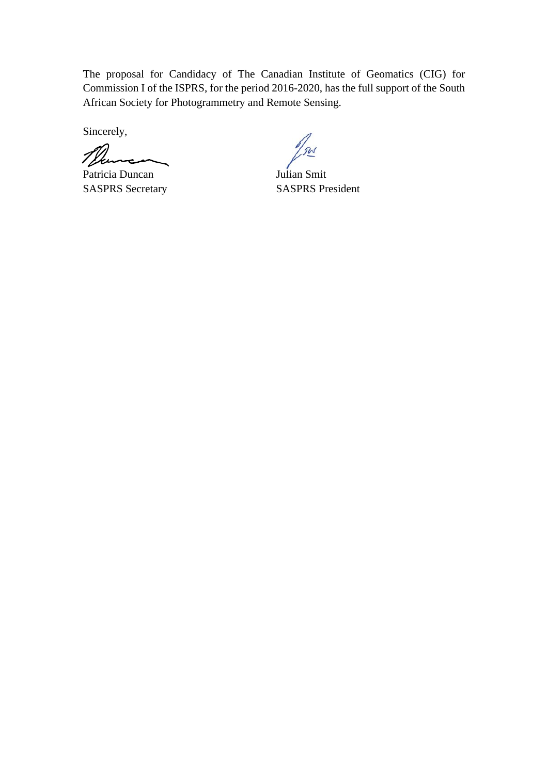The proposal for Candidacy of The Canadian Institute of Geomatics (CIG) for Commission I of the ISPRS, for the period 2016-2020, has the full support of the South African Society for Photogrammetry and Remote Sensing.

Sincerely,

Thurs Patricia Duncan Julian Smit

SASPRS Secretary SASPRS President

 $\frac{1}{2}$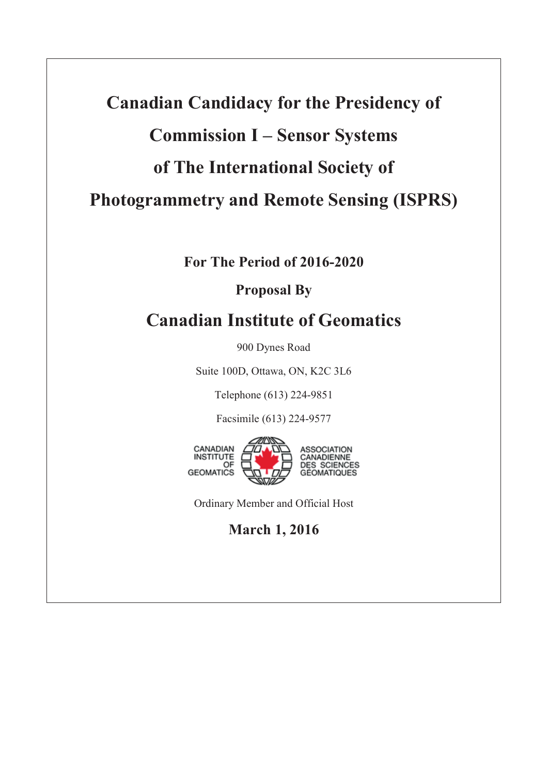# **Canadian Candidacy for the Presidency of Commission I – Sensor Systems of The International Society of Photogrammetry and Remote Sensing (ISPRS)**

**For The Period of 2016-2020** 

## **Proposal By**

# **Canadian Institute of Geomatics**

900 Dynes Road

Suite 100D, Ottawa, ON, K2C 3L6

Telephone (613) 224-9851

Facsimile (613) 224-9577



Ordinary Member and Official Host

# **March 1, 2016**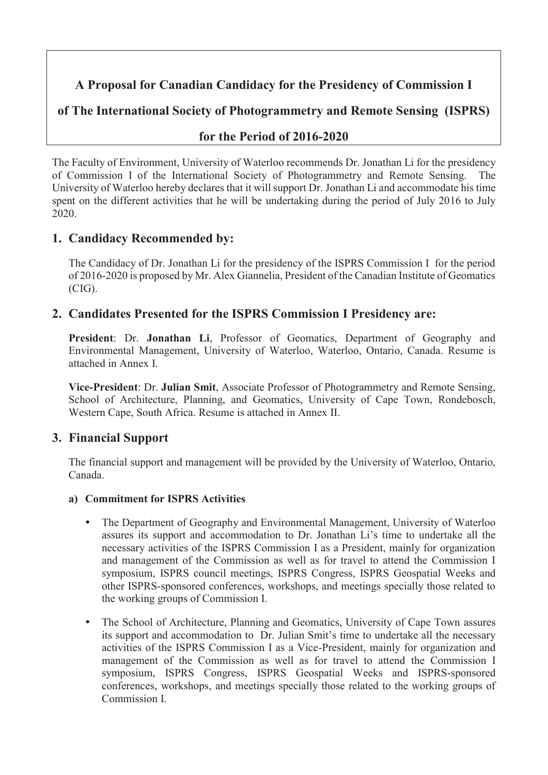## **A Proposal for Canadian Candidacy for the Presidency of Commission I**

**of The International Society of Photogrammetry and Remote Sensing (ISPRS)** 

## **for the Period of 2016-2020**

The Faculty of Environment, University of Waterloo recommends Dr. Jonathan Li for the presidency of Commission I of the International Society of Photogrammetry and Remote Sensing. The University of Waterloo hereby declares that it will support Dr. Jonathan Li and accommodate his time spent on the different activities that he will be undertaking during the period of July 2016 to July 2020.

## **1. Candidacy Recommended by:**

The Candidacy of Dr. Jonathan Li for the presidency of the ISPRS Commission I for the period of 2016-2020 is proposed by Mr. Alex Giannelia, President of the Canadian Institute of Geomatics (CIG).

## **2. Candidates Presented for the ISPRS Commission I Presidency are:**

**President**: Dr. **Jonathan Li**, Professor of Geomatics, Department of Geography and Environmental Management, University of Waterloo, Waterloo, Ontario, Canada. Resume is attached in Annex I.

**Vice-President**: Dr. **Julian Smit**, Associate Professor of Photogrammetry and Remote Sensing, School of Architecture, Planning, and Geomatics, University of Cape Town, Rondebosch, Western Cape, South Africa. Resume is attached in Annex II.

## **3. Financial Support**

The financial support and management will be provided by the University of Waterloo, Ontario, Canada.

## **a) Commitment for ISPRS Activities**

- The Department of Geography and Environmental Management, University of Waterloo assures its support and accommodation to Dr. Jonathan Li's time to undertake all the necessary activities of the ISPRS Commission I as a President, mainly for organization and management of the Commission as well as for travel to attend the Commission I symposium, ISPRS council meetings, ISPRS Congress, ISPRS Geospatial Weeks and other ISPRS-sponsored conferences, workshops, and meetings specially those related to the working groups of Commission I.
- The School of Architecture, Planning and Geomatics, University of Cape Town assures its support and accommodation to Dr. Julian Smit's time to undertake all the necessary activities of the ISPRS Commission I as a Vice-President, mainly for organization and management of the Commission as well as for travel to attend the Commission I symposium, ISPRS Congress, ISPRS Geospatial Weeks and ISPRS-sponsored conferences, workshops, and meetings specially those related to the working groups of Commission I.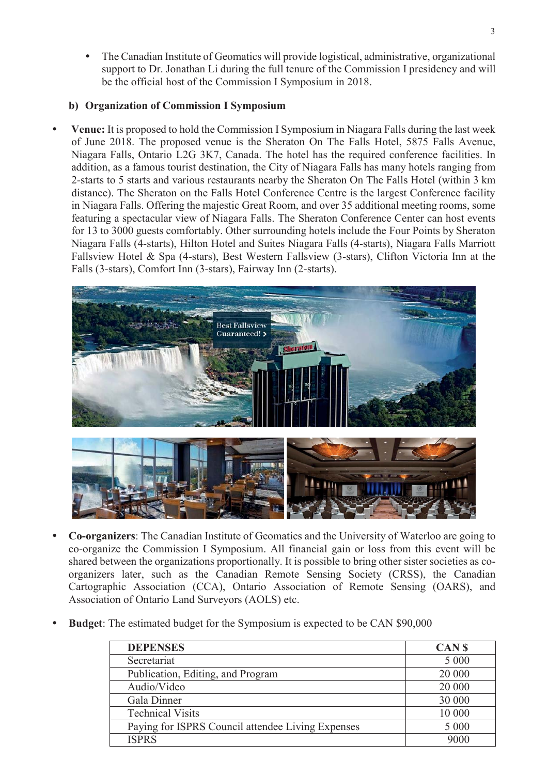The Canadian Institute of Geomatics will provide logistical, administrative, organizational support to Dr. Jonathan Li during the full tenure of the Commission I presidency and will be the official host of the Commission I Symposium in 2018.

#### **b) Organization of Commission I Symposium**

y **Venue:** It is proposed to hold the Commission I Symposium in Niagara Falls during the last week of June 2018. The proposed venue is the Sheraton On The Falls Hotel, 5875 Falls Avenue, Niagara Falls, Ontario L2G 3K7, Canada. The hotel has the required conference facilities. In addition, as a famous tourist destination, the City of Niagara Falls has many hotels ranging from 2-starts to 5 starts and various restaurants nearby the Sheraton On The Falls Hotel (within 3 km distance). The Sheraton on the Falls Hotel Conference Centre is the largest Conference facility in Niagara Falls. Offering the majestic Great Room, and over 35 additional meeting rooms, some featuring a spectacular view of Niagara Falls. The Sheraton Conference Center can host events for 13 to 3000 guests comfortably. Other surrounding hotels include the Four Points by Sheraton Niagara Falls (4-starts), Hilton Hotel and Suites Niagara Falls (4-starts), Niagara Falls Marriott Fallsview Hotel & Spa (4-stars), Best Western Fallsview (3-stars), Clifton Victoria Inn at the Falls (3-stars), Comfort Inn (3-stars), Fairway Inn (2-starts).



- y **Co-organizers**: The Canadian Institute of Geomatics and the University of Waterloo are going to co-organize the Commission I Symposium. All financial gain or loss from this event will be shared between the organizations proportionally. It is possible to bring other sister societies as coorganizers later, such as the Canadian Remote Sensing Society (CRSS), the Canadian Cartographic Association (CCA), Ontario Association of Remote Sensing (OARS), and Association of Ontario Land Surveyors (AOLS) etc.
- **Budget:** The estimated budget for the Symposium is expected to be CAN \$90,000

| <b>DEPENSES</b>                                   | CAN <sub>S</sub> |
|---------------------------------------------------|------------------|
| Secretariat                                       | 5 0 0 0          |
| Publication, Editing, and Program                 | 20 000           |
| Audio/Video                                       | 20 000           |
| Gala Dinner                                       | 30 000           |
| <b>Technical Visits</b>                           | 10 000           |
| Paying for ISPRS Council attendee Living Expenses | 5 000            |
| <b>ISPRS</b>                                      | 9000             |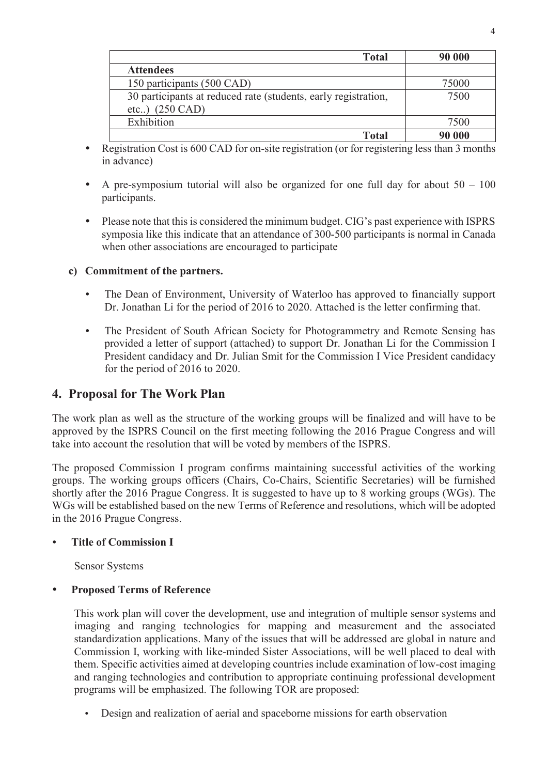| <b>Total</b>                                                   | 90 000 |
|----------------------------------------------------------------|--------|
| <b>Attendees</b>                                               |        |
| 150 participants (500 CAD)                                     | 75000  |
| 30 participants at reduced rate (students, early registration, | 7500   |
| etc) $(250 \text{ CAD})$                                       |        |
| Exhibition                                                     | 7500   |
| Total                                                          | 90 000 |

- Registration Cost is 600 CAD for on-site registration (or for registering less than 3 months in advance)
- A pre-symposium tutorial will also be organized for one full day for about  $50 100$ participants.
- y Please note that this is considered the minimum budget. CIG's past experience with ISPRS symposia like this indicate that an attendance of 300-500 participants is normal in Canada when other associations are encouraged to participate

#### **c) Commitment of the partners.**

- The Dean of Environment, University of Waterloo has approved to financially support Dr. Jonathan Li for the period of 2016 to 2020. Attached is the letter confirming that.
- The President of South African Society for Photogrammetry and Remote Sensing has provided a letter of support (attached) to support Dr. Jonathan Li for the Commission I President candidacy and Dr. Julian Smit for the Commission I Vice President candidacy for the period of 2016 to 2020.

## **4. Proposal for The Work Plan**

The work plan as well as the structure of the working groups will be finalized and will have to be approved by the ISPRS Council on the first meeting following the 2016 Prague Congress and will take into account the resolution that will be voted by members of the ISPRS.

The proposed Commission I program confirms maintaining successful activities of the working groups. The working groups officers (Chairs, Co-Chairs, Scientific Secretaries) will be furnished shortly after the 2016 Prague Congress. It is suggested to have up to 8 working groups (WGs). The WGs will be established based on the new Terms of Reference and resolutions, which will be adopted in the 2016 Prague Congress.

#### y **Title of Commission I**

Sensor Systems

#### y **Proposed Terms of Reference**

This work plan will cover the development, use and integration of multiple sensor systems and imaging and ranging technologies for mapping and measurement and the associated standardization applications. Many of the issues that will be addressed are global in nature and Commission I, working with like-minded Sister Associations, will be well placed to deal with them. Specific activities aimed at developing countries include examination of low-cost imaging and ranging technologies and contribution to appropriate continuing professional development programs will be emphasized. The following TOR are proposed:

Design and realization of aerial and spaceborne missions for earth observation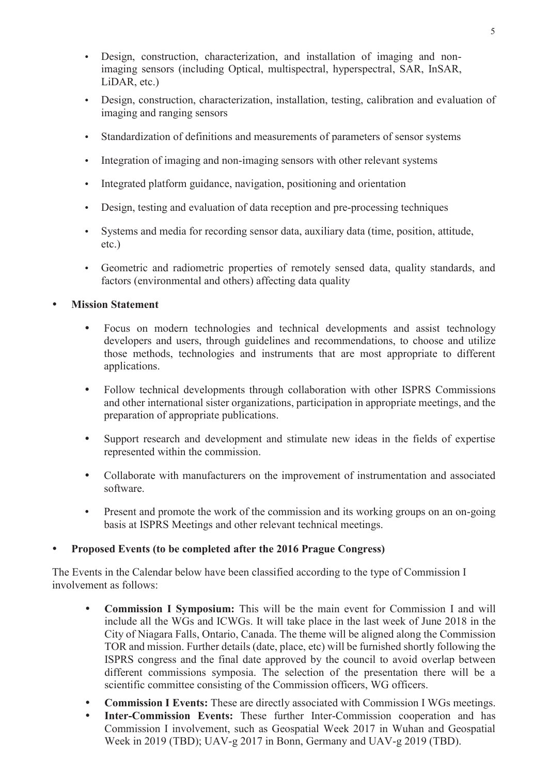- Design, construction, characterization, and installation of imaging and nonimaging sensors (including Optical, multispectral, hyperspectral, SAR, InSAR, LiDAR, etc.)
- Design, construction, characterization, installation, testing, calibration and evaluation of imaging and ranging sensors
- y Standardization of definitions and measurements of parameters of sensor systems
- Integration of imaging and non-imaging sensors with other relevant systems
- Integrated platform guidance, navigation, positioning and orientation
- Design, testing and evaluation of data reception and pre-processing techniques
- y Systems and media for recording sensor data, auxiliary data (time, position, attitude, etc.)
- Geometric and radiometric properties of remotely sensed data, quality standards, and factors (environmental and others) affecting data quality

**Mission Statement** 

- Focus on modern technologies and technical developments and assist technology developers and users, through guidelines and recommendations, to choose and utilize those methods, technologies and instruments that are most appropriate to different applications.
- Follow technical developments through collaboration with other ISPRS Commissions and other international sister organizations, participation in appropriate meetings, and the preparation of appropriate publications.
- Support research and development and stimulate new ideas in the fields of expertise represented within the commission.
- Collaborate with manufacturers on the improvement of instrumentation and associated software.
- Present and promote the work of the commission and its working groups on an on-going basis at ISPRS Meetings and other relevant technical meetings.

## y **Proposed Events (to be completed after the 2016 Prague Congress)**

The Events in the Calendar below have been classified according to the type of Commission I involvement as follows:

- **Commission I Symposium:** This will be the main event for Commission I and will include all the WGs and ICWGs. It will take place in the last week of June 2018 in the City of Niagara Falls, Ontario, Canada. The theme will be aligned along the Commission TOR and mission. Further details (date, place, etc) will be furnished shortly following the ISPRS congress and the final date approved by the council to avoid overlap between different commissions symposia. The selection of the presentation there will be a scientific committee consisting of the Commission officers, WG officers.
- **Commission I Events:** These are directly associated with Commission I WGs meetings.
- Inter-Commission Events: These further Inter-Commission cooperation and has Commission I involvement, such as Geospatial Week 2017 in Wuhan and Geospatial Week in 2019 (TBD); UAV-g 2017 in Bonn, Germany and UAV-g 2019 (TBD).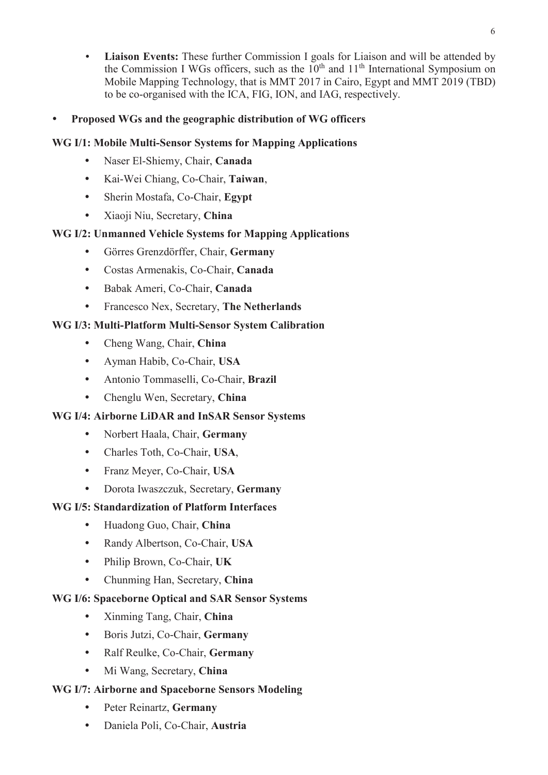Liaison Events: These further Commission I goals for Liaison and will be attended by the Commission I WGs officers, such as the  $10<sup>th</sup>$  and  $11<sup>th</sup>$  International Symposium on Mobile Mapping Technology, that is MMT 2017 in Cairo, Egypt and MMT 2019 (TBD) to be co-organised with the ICA, FIG, ION, and IAG, respectively.

## y **Proposed WGs and the geographic distribution of WG officers**

## **WG I/1: Mobile Multi-Sensor Systems for Mapping Applications**

- y Naser El-Shiemy, Chair, **Canada**
- y Kai-Wei Chiang, Co-Chair, **Taiwan**,
- y Sherin Mostafa, Co-Chair, **Egypt**
- y Xiaoji Niu, Secretary, **China**

## **WG I/2: Unmanned Vehicle Systems for Mapping Applications**

- y Görres Grenzdörffer, Chair, **Germany**
- y Costas Armenakis, Co-Chair, **Canada**
- y Babak Ameri, Co-Chair, **Canada**
- y Francesco Nex, Secretary, **The Netherlands**

## **WG I/3: Multi-Platform Multi-Sensor System Calibration**

- y Cheng Wang, Chair, **China**
- y Ayman Habib, Co-Chair, **USA**
- y Antonio Tommaselli, Co-Chair, **Brazil**
- y Chenglu Wen, Secretary, **China**

## **WG I/4: Airborne LiDAR and InSAR Sensor Systems**

- y Norbert Haala, Chair, **Germany**
- y Charles Toth, Co-Chair, **USA**,
- y Franz Meyer, Co-Chair, **USA**
- y Dorota Iwaszczuk, Secretary, **Germany**

## **WG I/5: Standardization of Platform Interfaces**

- y Huadong Guo, Chair, **China**
- y Randy Albertson, Co-Chair, **USA**
- y Philip Brown, Co-Chair, **UK**
- y Chunming Han, Secretary, **China**

## **WG I/6: Spaceborne Optical and SAR Sensor Systems**

- y Xinming Tang, Chair, **China**
- y Boris Jutzi, Co-Chair, **Germany**
- y Ralf Reulke, Co-Chair, **Germany**
- Mi Wang, Secretary, China

## **WG I/7: Airborne and Spaceborne Sensors Modeling**

- y Peter Reinartz, **Germany**
- y Daniela Poli, Co-Chair, **Austria**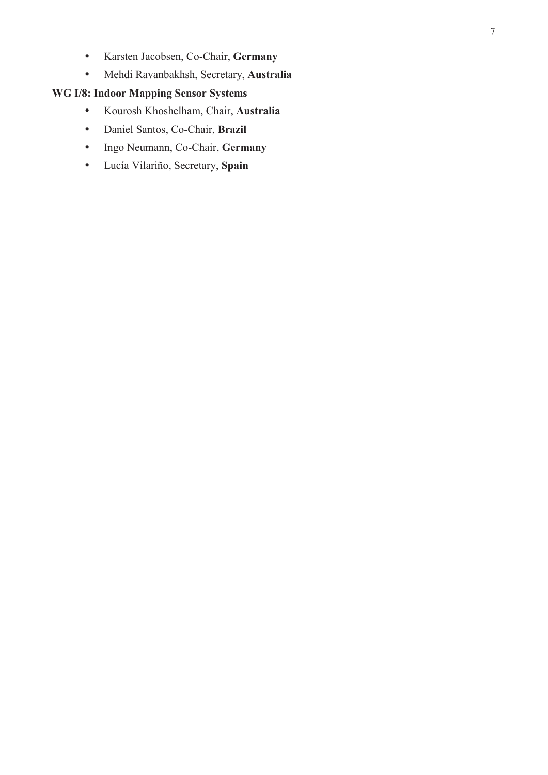- y Karsten Jacobsen, Co-Chair, **Germany**
- y Mehdi Ravanbakhsh, Secretary, **Australia**

## **WG I/8: Indoor Mapping Sensor Systems**

- y Kourosh Khoshelham, Chair, **Australia**
- y Daniel Santos, Co-Chair, **Brazil**
- y Ingo Neumann, Co-Chair, **Germany**
- y Lucía Vilariño, Secretary, **Spain**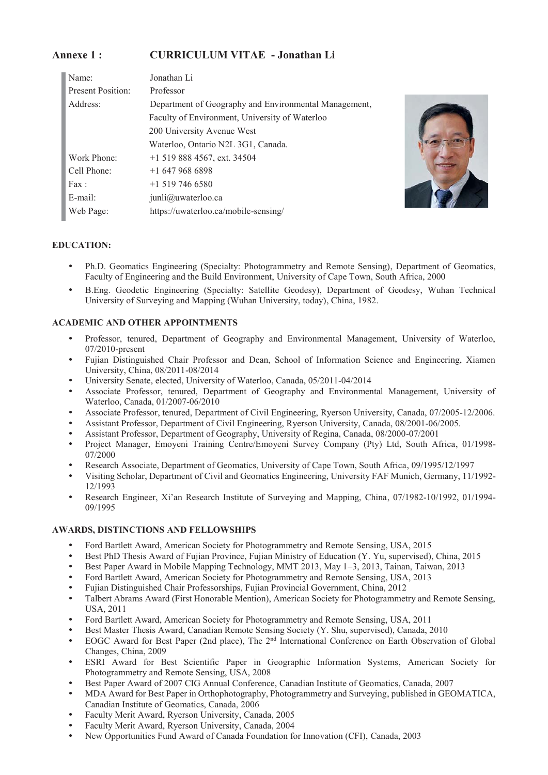#### **Annexe 1 : CURRICULUM VITAE - Jonathan Li**

| Name:                    | Jonathan Li                                           |
|--------------------------|-------------------------------------------------------|
| <b>Present Position:</b> | Professor                                             |
| Address:                 | Department of Geography and Environmental Management, |
|                          | Faculty of Environment, University of Waterloo        |
|                          | 200 University Avenue West                            |
|                          | Waterloo, Ontario N2L 3G1, Canada.                    |
| Work Phone:              | $+1$ 519 888 4567, ext. 34504                         |
| Cell Phone:              | $+16479686898$                                        |
| Fax:                     | $+1$ 519 746 6580                                     |
| E-mail:                  | $j$ unli $@$ uwaterloo.ca                             |
| Web Page:                | https://uwaterloo.ca/mobile-sensing/                  |



#### **EDUCATION:**

- Ph.D. Geomatics Engineering (Specialty: Photogrammetry and Remote Sensing), Department of Geomatics, Faculty of Engineering and the Build Environment, University of Cape Town, South Africa, 2000
- y B.Eng. Geodetic Engineering (Specialty: Satellite Geodesy), Department of Geodesy, Wuhan Technical University of Surveying and Mapping (Wuhan University, today), China, 1982.

#### **ACADEMIC AND OTHER APPOINTMENTS**

- y Professor, tenured, Department of Geography and Environmental Management, University of Waterloo, 07/2010-present
- Fujian Distinguished Chair Professor and Dean, School of Information Science and Engineering, Xiamen University, China, 08/2011-08/2014
- y University Senate, elected, University of Waterloo, Canada, 05/2011-04/2014
- Associate Professor, tenured, Department of Geography and Environmental Management, University of Waterloo, Canada, 01/2007-06/2010
- y Associate Professor, tenured, Department of Civil Engineering, Ryerson University, Canada, 07/2005-12/2006.
- Assistant Professor, Department of Civil Engineering, Ryerson University, Canada, 08/2001-06/2005.
- y Assistant Professor, Department of Geography, University of Regina, Canada, 08/2000-07/2001
- y Project Manager, Emoyeni Training Centre/Emoyeni Survey Company (Pty) Ltd, South Africa, 01/1998- 07/2000
- Research Associate, Department of Geomatics, University of Cape Town, South Africa, 09/1995/12/1997
- y Visiting Scholar, Department of Civil and Geomatics Engineering, University FAF Munich, Germany, 11/1992- 12/1993
- Research Engineer, Xi'an Research Institute of Surveying and Mapping, China, 07/1982-10/1992, 01/1994-09/1995

#### **AWARDS, DISTINCTIONS AND FELLOWSHIPS**

- y Ford Bartlett Award, American Society for Photogrammetry and Remote Sensing, USA, 2015
- Best PhD Thesis Award of Fujian Province, Fujian Ministry of Education (Y. Yu, supervised), China, 2015
- y Best Paper Award in Mobile Mapping Technology, MMT 2013, May 1–3, 2013, Tainan, Taiwan, 2013
- Ford Bartlett Award, American Society for Photogrammetry and Remote Sensing, USA, 2013
- y Fujian Distinguished Chair Professorships, Fujian Provincial Government, China, 2012
- Talbert Abrams Award (First Honorable Mention), American Society for Photogrammetry and Remote Sensing, USA, 2011
- Ford Bartlett Award, American Society for Photogrammetry and Remote Sensing, USA, 2011
- Best Master Thesis Award, Canadian Remote Sensing Society (Y. Shu, supervised), Canada, 2010
- EOGC Award for Best Paper (2nd place), The 2<sup>nd</sup> International Conference on Earth Observation of Global Changes, China, 2009
- y ESRI Award for Best Scientific Paper in Geographic Information Systems, American Society for Photogrammetry and Remote Sensing, USA, 2008
- y Best Paper Award of 2007 CIG Annual Conference, Canadian Institute of Geomatics, Canada, 2007
- MDA Award for Best Paper in Orthophotography, Photogrammetry and Surveying, published in GEOMATICA, Canadian Institute of Geomatics, Canada, 2006
- y Faculty Merit Award, Ryerson University, Canada, 2005
- Faculty Merit Award, Ryerson University, Canada, 2004
- New Opportunities Fund Award of Canada Foundation for Innovation (CFI), Canada, 2003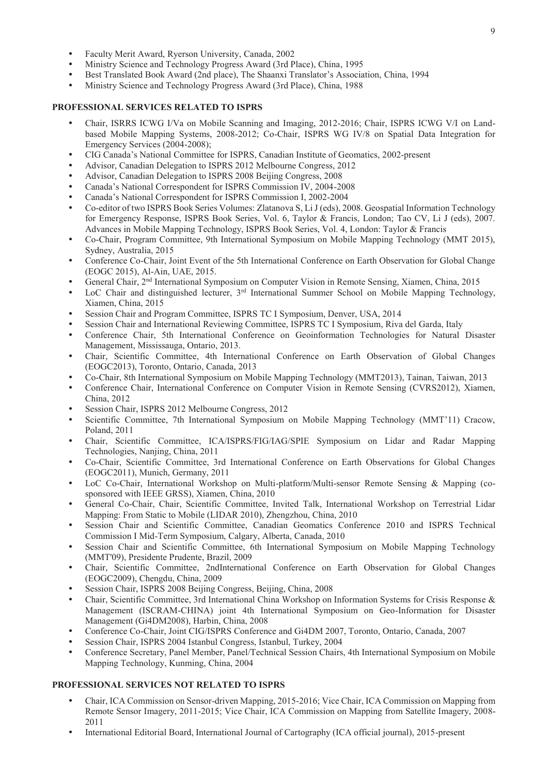- Faculty Merit Award, Ryerson University, Canada, 2002
- Ministry Science and Technology Progress Award (3rd Place), China, 1995
- y Best Translated Book Award (2nd place), The Shaanxi Translator's Association, China, 1994
- Ministry Science and Technology Progress Award (3rd Place), China, 1988

#### **PROFESSIONAL SERVICES RELATED TO ISPRS**

- y Chair, ISRRS ICWG I/Va on Mobile Scanning and Imaging, 2012-2016; Chair, ISPRS ICWG V/I on Landbased Mobile Mapping Systems, 2008-2012; Co-Chair, ISPRS WG IV/8 on Spatial Data Integration for Emergency Services (2004-2008);
- y CIG Canada's National Committee for ISPRS, Canadian Institute of Geomatics, 2002-present
- Advisor, Canadian Delegation to ISPRS 2012 Melbourne Congress, 2012
- Advisor, Canadian Delegation to ISPRS 2008 Beijing Congress, 2008
- Canada's National Correspondent for ISPRS Commission IV, 2004-2008
- Canada's National Correspondent for ISPRS Commission I, 2002-2004
- y Co-editor of two ISPRS Book Series Volumes: Zlatanova S, Li J (eds), 2008. Geospatial Information Technology for Emergency Response, ISPRS Book Series, Vol. 6, Taylor & Francis, London; Tao CV, Li J (eds), 2007. Advances in Mobile Mapping Technology, ISPRS Book Series, Vol. 4, London: Taylor & Francis
- y Co-Chair, Program Committee, 9th International Symposium on Mobile Mapping Technology (MMT 2015), Sydney, Australia, 2015
- y Conference Co-Chair, Joint Event of the 5th International Conference on Earth Observation for Global Change (EOGC 2015), Al-Ain, UAE, 2015.
- y General Chair, 2nd International Symposium on Computer Vision in Remote Sensing, Xiamen, China, 2015
- LoC Chair and distinguished lecturer,  $3<sup>rd</sup>$  International Summer School on Mobile Mapping Technology, Xiamen, China, 2015
- Session Chair and Program Committee, ISPRS TC I Symposium, Denver, USA, 2014
- Session Chair and International Reviewing Committee, ISPRS TC I Symposium, Riva del Garda, Italy
- Conference Chair, 5th International Conference on Geoinformation Technologies for Natural Disaster Management, Mississauga, Ontario, 2013.
- y Chair, Scientific Committee, 4th International Conference on Earth Observation of Global Changes (EOGC2013), Toronto, Ontario, Canada, 2013
- y Co-Chair, 8th International Symposium on Mobile Mapping Technology (MMT2013), Tainan, Taiwan, 2013
- Conference Chair, International Conference on Computer Vision in Remote Sensing (CVRS2012), Xiamen, China, 2012
- Session Chair, ISPRS 2012 Melbourne Congress, 2012
- Scientific Committee, 7th International Symposium on Mobile Mapping Technology (MMT'11) Cracow, Poland, 2011
- y Chair, Scientific Committee, ICA/ISPRS/FIG/IAG/SPIE Symposium on Lidar and Radar Mapping Technologies, Nanjing, China, 2011
- y Co-Chair, Scientific Committee, 3rd International Conference on Earth Observations for Global Changes (EOGC2011), Munich, Germany, 2011
- LoC Co-Chair, International Workshop on Multi-platform/Multi-sensor Remote Sensing & Mapping (cosponsored with IEEE GRSS), Xiamen, China, 2010
- General Co-Chair, Chair, Scientific Committee, Invited Talk, International Workshop on Terrestrial Lidar Mapping: From Static to Mobile (LIDAR 2010), Zhengzhou, China, 2010
- y Session Chair and Scientific Committee, Canadian Geomatics Conference 2010 and ISPRS Technical Commission I Mid-Term Symposium, Calgary, Alberta, Canada, 2010
- Session Chair and Scientific Committee, 6th International Symposium on Mobile Mapping Technology (MMT'09), Presidente Prudente, Brazil, 2009
- y Chair, Scientific Committee, 2ndInternational Conference on Earth Observation for Global Changes (EOGC2009), Chengdu, China, 2009
- Session Chair, ISPRS 2008 Beijing Congress, Beijing, China, 2008
- Chair, Scientific Committee, 3rd International China Workshop on Information Systems for Crisis Response & Management (ISCRAM-CHINA) joint 4th International Symposium on Geo-Information for Disaster Management (Gi4DM2008), Harbin, China, 2008
- y Conference Co-Chair, Joint CIG/ISPRS Conference and Gi4DM 2007, Toronto, Ontario, Canada, 2007
- Session Chair, ISPRS 2004 Istanbul Congress, Istanbul, Turkey, 2004
- Conference Secretary, Panel Member, Panel/Technical Session Chairs, 4th International Symposium on Mobile Mapping Technology, Kunming, China, 2004

#### **PROFESSIONAL SERVICES NOT RELATED TO ISPRS**

- y Chair, ICA Commission on Sensor-driven Mapping, 2015-2016; Vice Chair, ICA Commission on Mapping from Remote Sensor Imagery, 2011-2015; Vice Chair, ICA Commission on Mapping from Satellite Imagery, 2008- 2011
- International Editorial Board, International Journal of Cartography (ICA official journal), 2015-present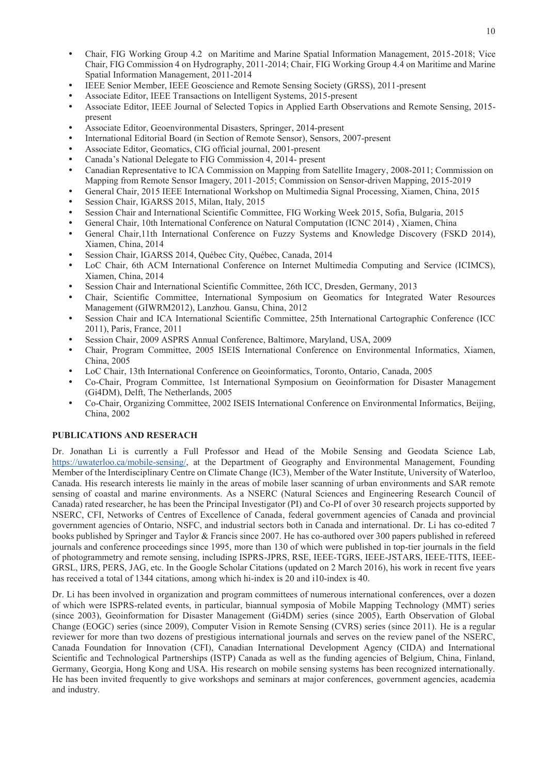- y Chair, FIG Working Group 4.2 on Maritime and Marine Spatial Information Management, 2015-2018; Vice Chair, FIG Commission 4 on Hydrography, 2011-2014; Chair, FIG Working Group 4.4 on Maritime and Marine Spatial Information Management, 2011-2014
- IEEE Senior Member, IEEE Geoscience and Remote Sensing Society (GRSS), 2011-present
- Associate Editor, IEEE Transactions on Intelligent Systems, 2015-present
- Associate Editor, IEEE Journal of Selected Topics in Applied Earth Observations and Remote Sensing, 2015present
- y Associate Editor, Geoenvironmental Disasters, Springer, 2014-present
- International Editorial Board (in Section of Remote Sensor), Sensors, 2007-present
- Associate Editor, Geomatics, CIG official journal, 2001-present
- Canada's National Delegate to FIG Commission 4, 2014- present
- Canadian Representative to ICA Commission on Mapping from Satellite Imagery, 2008-2011; Commission on Mapping from Remote Sensor Imagery, 2011-2015; Commission on Sensor-driven Mapping, 2015-2019
- y General Chair, 2015 IEEE International Workshop on Multimedia Signal Processing, Xiamen, China, 2015
- Session Chair, IGARSS 2015, Milan, Italy, 2015
- Session Chair and International Scientific Committee, FIG Working Week 2015, Sofia, Bulgaria, 2015
- y General Chair, 10th International Conference on Natural Computation (ICNC 2014) , Xiamen, China
- General Chair,11th International Conference on Fuzzy Systems and Knowledge Discovery (FSKD 2014), Xiamen, China, 2014
- Session Chair, IGARSS 2014, Québec City, Québec, Canada, 2014
- LoC Chair, 6th ACM International Conference on Internet Multimedia Computing and Service (ICIMCS), Xiamen, China, 2014
- y Session Chair and International Scientific Committee, 26th ICC, Dresden, Germany, 2013
- y Chair, Scientific Committee, International Symposium on Geomatics for Integrated Water Resources Management (GIWRM2012), Lanzhou. Gansu, China, 2012
- Session Chair and ICA International Scientific Committee, 25th International Cartographic Conference (ICC 2011), Paris, France, 2011
- Session Chair, 2009 ASPRS Annual Conference, Baltimore, Maryland, USA, 2009
- y Chair, Program Committee, 2005 ISEIS International Conference on Environmental Informatics, Xiamen, China, 2005
- LoC Chair, 13th International Conference on Geoinformatics, Toronto, Ontario, Canada, 2005
- y Co-Chair, Program Committee, 1st International Symposium on Geoinformation for Disaster Management (Gi4DM), Delft, The Netherlands, 2005
- y Co-Chair, Organizing Committee, 2002 ISEIS International Conference on Environmental Informatics, Beijing, China, 2002

#### **PUBLICATIONS AND RESERACH**

Dr. Jonathan Li is currently a Full Professor and Head of the Mobile Sensing and Geodata Science Lab, https://uwaterloo.ca/mobile-sensing/, at the Department of Geography and Environmental Management, Founding Member of the Interdisciplinary Centre on Climate Change (IC3), Member of the Water Institute, University of Waterloo, Canada. His research interests lie mainly in the areas of mobile laser scanning of urban environments and SAR remote sensing of coastal and marine environments. As a NSERC (Natural Sciences and Engineering Research Council of Canada) rated researcher, he has been the Principal Investigator (PI) and Co-PI of over 30 research projects supported by NSERC, CFI, Networks of Centres of Excellence of Canada, federal government agencies of Canada and provincial government agencies of Ontario, NSFC, and industrial sectors both in Canada and international. Dr. Li has co-edited 7 books published by Springer and Taylor & Francis since 2007. He has co-authored over 300 papers published in refereed journals and conference proceedings since 1995, more than 130 of which were published in top-tier journals in the field of photogrammetry and remote sensing, including ISPRS-JPRS, RSE, IEEE-TGRS, IEEE-JSTARS, IEEE-TITS, IEEE-GRSL, IJRS, PERS, JAG, etc. In the Google Scholar Citations (updated on 2 March 2016), his work in recent five years has received a total of 1344 citations, among which hi-index is 20 and i10-index is 40.

Dr. Li has been involved in organization and program committees of numerous international conferences, over a dozen of which were ISPRS-related events, in particular, biannual symposia of Mobile Mapping Technology (MMT) series (since 2003), Geoinformation for Disaster Management (Gi4DM) series (since 2005), Earth Observation of Global Change (EOGC) series (since 2009), Computer Vision in Remote Sensing (CVRS) series (since 2011). He is a regular reviewer for more than two dozens of prestigious international journals and serves on the review panel of the NSERC, Canada Foundation for Innovation (CFI), Canadian International Development Agency (CIDA) and International Scientific and Technological Partnerships (ISTP) Canada as well as the funding agencies of Belgium, China, Finland, Germany, Georgia, Hong Kong and USA. His research on mobile sensing systems has been recognized internationally. He has been invited frequently to give workshops and seminars at major conferences, government agencies, academia and industry.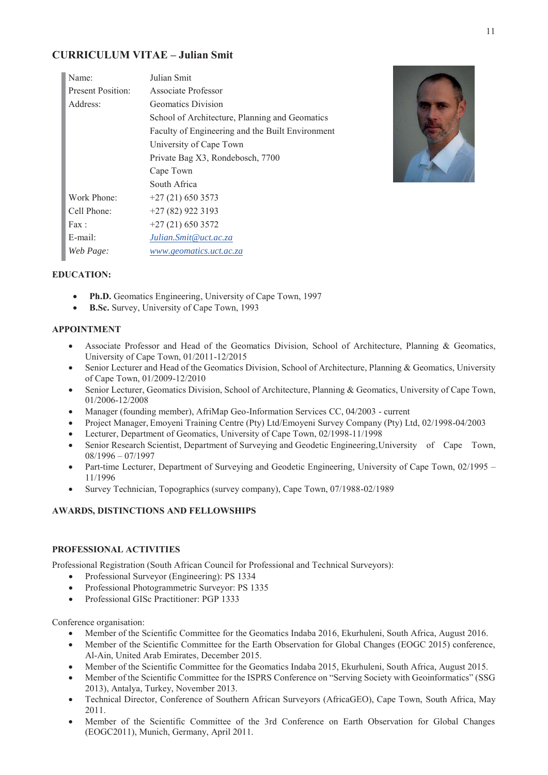#### **CURRICULUM VITAE – Julian Smit**

| Name:                    | Julian Smit                                      |
|--------------------------|--------------------------------------------------|
| <b>Present Position:</b> | Associate Professor                              |
| Address:                 | Geomatics Division                               |
|                          | School of Architecture, Planning and Geomatics   |
|                          | Faculty of Engineering and the Built Environment |
|                          | University of Cape Town                          |
|                          | Private Bag X3, Rondebosch, 7700                 |
|                          | Cape Town                                        |
|                          | South Africa                                     |
| Work Phone:              | $+27(21)$ 650 3573                               |
| Cell Phone:              | $+27(82)9223193$                                 |
| Fax:                     | $+27(21)6503572$                                 |
| E-mail:                  | Julian.Smit@uct.ac.za                            |
| Web Page:                | www.geomatics.uct.ac.za                          |



#### **EDUCATION:**

- Ph.D. Geomatics Engineering, University of Cape Town, 1997
- **B.Sc.** Survey, University of Cape Town, 1993

#### **APPOINTMENT**

- x Associate Professor and Head of the Geomatics Division, School of Architecture, Planning & Geomatics, University of Cape Town, 01/2011-12/2015
- Senior Lecturer and Head of the Geomatics Division, School of Architecture, Planning & Geomatics, University of Cape Town, 01/2009-12/2010
- Senior Lecturer, Geomatics Division, School of Architecture, Planning & Geomatics, University of Cape Town, 01/2006-12/2008
- Manager (founding member), AfriMap Geo-Information Services CC, 04/2003 current
- x Project Manager, Emoyeni Training Centre (Pty) Ltd/Emoyeni Survey Company (Pty) Ltd, 02/1998-04/2003
- Lecturer, Department of Geomatics, University of Cape Town, 02/1998-11/1998
- Senior Research Scientist, Department of Surveying and Geodetic Engineering, University of Cape Town, 08/1996 – 07/1997
- Part-time Lecturer, Department of Surveying and Geodetic Engineering, University of Cape Town, 02/1995 11/1996
- x Survey Technician, Topographics (survey company), Cape Town, 07/1988-02/1989

#### **AWARDS, DISTINCTIONS AND FELLOWSHIPS**

#### **PROFESSIONAL ACTIVITIES**

Professional Registration (South African Council for Professional and Technical Surveyors):

- Professional Surveyor (Engineering): PS 1334
- Professional Photogrammetric Surveyor: PS 1335
- Professional GISc Practitioner: PGP 1333

Conference organisation:

- Member of the Scientific Committee for the Geomatics Indaba 2016, Ekurhuleni, South Africa, August 2016.
- Member of the Scientific Committee for the Earth Observation for Global Changes (EOGC 2015) conference, Al-Ain, United Arab Emirates, December 2015.
- Member of the Scientific Committee for the Geomatics Indaba 2015, Ekurhuleni, South Africa, August 2015.
- x Member of the Scientific Committee for the ISPRS Conference on "Serving Society with Geoinformatics" (SSG 2013), Antalya, Turkey, November 2013.
- x Technical Director, Conference of Southern African Surveyors (AfricaGEO), Cape Town, South Africa, May 2011.
- x Member of the Scientific Committee of the 3rd Conference on Earth Observation for Global Changes (EOGC2011), Munich, Germany, April 2011.